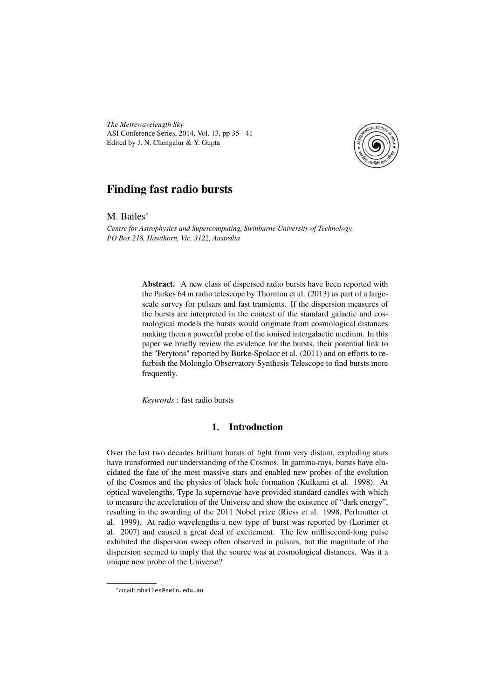*The Metrewavelength Sky* ASI Conference Series, 2014, Vol. 13, pp 35 – 41 Edited by J. N. Chengalur & Y. Gupta



# Finding fast radio bursts

M. Bailes<sup>\*</sup>

*Centre for Astrophysics and Supercomputing, Swinburne University of Technology, PO Box 218, Hawthorn, Vic, 3122, Australia*

> Abstract. A new class of dispersed radio bursts have been reported with the Parkes 64 m radio telescope by Thornton et al. (2013) as part of a largescale survey for pulsars and fast transients. If the dispersion measures of the bursts are interpreted in the context of the standard galactic and cosmological models the bursts would originate from cosmological distances making them a powerful probe of the ionised intergalactic medium. In this paper we briefly review the evidence for the bursts, their potential link to the "Perytons" reported by Burke-Spolaor et al. (2011) and on efforts to refurbish the Molonglo Observatory Synthesis Telescope to find bursts more frequently.

*Keywords* : fast radio bursts

## 1. Introduction

Over the last two decades brilliant bursts of light from very distant, exploding stars have transformed our understanding of the Cosmos. In gamma-rays, bursts have elucidated the fate of the most massive stars and enabled new probes of the evolution of the Cosmos and the physics of black hole formation (Kulkarni et al. 1998). At optical wavelengths, Type Ia supernovae have provided standard candles with which to measure the acceleration of the Universe and show the existence of "dark energy", resulting in the awarding of the 2011 Nobel prize (Riess et al. 1998, Perlmutter et al. 1999). At radio wavelengths a new type of burst was reported by (Lorimer et al. 2007) and caused a great deal of excitement. The few millisecond-long pulse exhibited the dispersion sweep often observed in pulsars, but the magnitude of the dispersion seemed to imply that the source was at cosmological distances. Was it a unique new probe of the Universe?

<sup>∗</sup> email: mbailes@swin.edu.au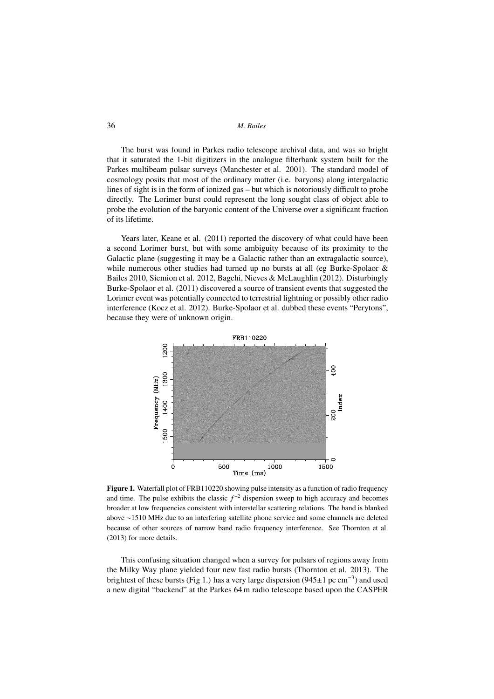#### 36 *M. Bailes*

The burst was found in Parkes radio telescope archival data, and was so bright that it saturated the 1-bit digitizers in the analogue filterbank system built for the Parkes multibeam pulsar surveys (Manchester et al. 2001). The standard model of cosmology posits that most of the ordinary matter (i.e. baryons) along intergalactic lines of sight is in the form of ionized gas – but which is notoriously difficult to probe directly. The Lorimer burst could represent the long sought class of object able to probe the evolution of the baryonic content of the Universe over a significant fraction of its lifetime.

Years later, Keane et al. (2011) reported the discovery of what could have been a second Lorimer burst, but with some ambiguity because of its proximity to the Galactic plane (suggesting it may be a Galactic rather than an extragalactic source), while numerous other studies had turned up no bursts at all (eg Burke-Spolaor & Bailes 2010, Siemion et al. 2012, Bagchi, Nieves & McLaughlin (2012). Disturbingly Burke-Spolaor et al. (2011) discovered a source of transient events that suggested the Lorimer event was potentially connected to terrestrial lightning or possibly other radio interference (Kocz et al. 2012). Burke-Spolaor et al. dubbed these events "Perytons", because they were of unknown origin.



Figure 1. Waterfall plot of FRB110220 showing pulse intensity as a function of radio frequency and time. The pulse exhibits the classic  $f^{-2}$  dispersion sweep to high accuracy and becomes broader at low frequencies consistent with interstellar scattering relations. The band is blanked above ∼1510 MHz due to an interfering satellite phone service and some channels are deleted because of other sources of narrow band radio frequency interference. See Thornton et al. (2013) for more details.

This confusing situation changed when a survey for pulsars of regions away from the Milky Way plane yielded four new fast radio bursts (Thornton et al. 2013). The brightest of these bursts (Fig 1.) has a very large dispersion (945 $\pm$ 1 pc cm<sup>-3</sup>) and used a new digital "backend" at the Parkes 64 m radio telescope based upon the CASPER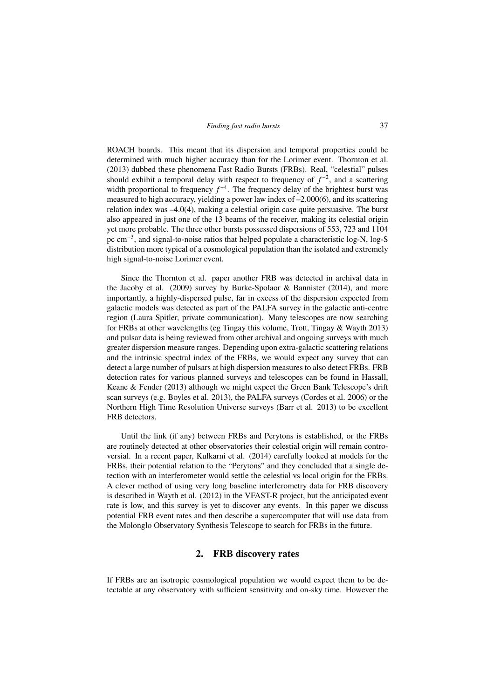ROACH boards. This meant that its dispersion and temporal properties could be determined with much higher accuracy than for the Lorimer event. Thornton et al. (2013) dubbed these phenomena Fast Radio Bursts (FRBs). Real, "celestial" pulses should exhibit a temporal delay with respect to frequency of  $f^{-2}$ , and a scattering width proportional to frequency  $f^{-4}$ . The frequency delay of the brightest burst was measured to high accuracy, yielding a power law index of –2.000(6), and its scattering relation index was –4.0(4), making a celestial origin case quite persuasive. The burst also appeared in just one of the 13 beams of the receiver, making its celestial origin yet more probable. The three other bursts possessed dispersions of 553, 723 and 1104 pc cm<sup>-3</sup>, and signal-to-noise ratios that helped populate a characteristic log-N, log-S distribution more typical of a cosmological population than the isolated and extremely high signal-to-noise Lorimer event.

Since the Thornton et al. paper another FRB was detected in archival data in the Jacoby et al. (2009) survey by Burke-Spolaor & Bannister (2014), and more importantly, a highly-dispersed pulse, far in excess of the dispersion expected from galactic models was detected as part of the PALFA survey in the galactic anti-centre region (Laura Spitler, private communication). Many telescopes are now searching for FRBs at other wavelengths (eg Tingay this volume, Trott, Tingay & Wayth 2013) and pulsar data is being reviewed from other archival and ongoing surveys with much greater dispersion measure ranges. Depending upon extra-galactic scattering relations and the intrinsic spectral index of the FRBs, we would expect any survey that can detect a large number of pulsars at high dispersion measures to also detect FRBs. FRB detection rates for various planned surveys and telescopes can be found in Hassall, Keane & Fender (2013) although we might expect the Green Bank Telescope's drift scan surveys (e.g. Boyles et al. 2013), the PALFA surveys (Cordes et al. 2006) or the Northern High Time Resolution Universe surveys (Barr et al. 2013) to be excellent FRB detectors.

Until the link (if any) between FRBs and Perytons is established, or the FRBs are routinely detected at other observatories their celestial origin will remain controversial. In a recent paper, Kulkarni et al. (2014) carefully looked at models for the FRBs, their potential relation to the "Perytons" and they concluded that a single detection with an interferometer would settle the celestial vs local origin for the FRBs. A clever method of using very long baseline interferometry data for FRB discovery is described in Wayth et al. (2012) in the VFAST-R project, but the anticipated event rate is low, and this survey is yet to discover any events. In this paper we discuss potential FRB event rates and then describe a supercomputer that will use data from the Molonglo Observatory Synthesis Telescope to search for FRBs in the future.

### 2. FRB discovery rates

If FRBs are an isotropic cosmological population we would expect them to be detectable at any observatory with sufficient sensitivity and on-sky time. However the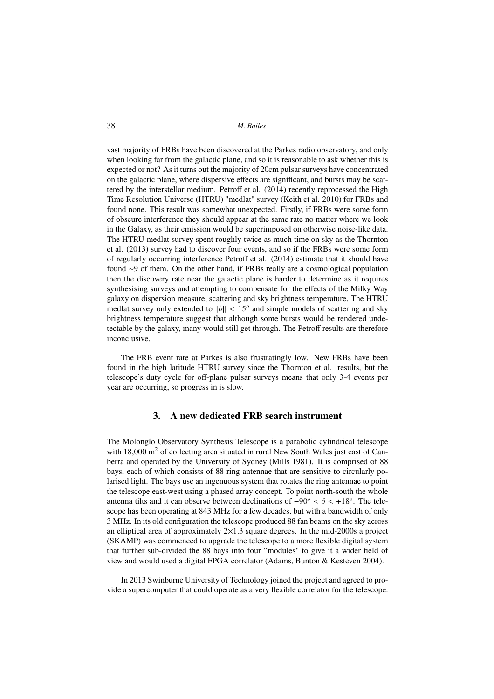38 *M. Bailes*

vast majority of FRBs have been discovered at the Parkes radio observatory, and only when looking far from the galactic plane, and so it is reasonable to ask whether this is expected or not? As it turns out the majority of 20cm pulsar surveys have concentrated on the galactic plane, where dispersive effects are significant, and bursts may be scattered by the interstellar medium. Petroff et al. (2014) recently reprocessed the High Time Resolution Universe (HTRU) "medlat" survey (Keith et al. 2010) for FRBs and found none. This result was somewhat unexpected. Firstly, if FRBs were some form of obscure interference they should appear at the same rate no matter where we look in the Galaxy, as their emission would be superimposed on otherwise noise-like data. The HTRU medlat survey spent roughly twice as much time on sky as the Thornton et al. (2013) survey had to discover four events, and so if the FRBs were some form of regularly occurring interference Petroff et al. (2014) estimate that it should have found ∼9 of them. On the other hand, if FRBs really are a cosmological population then the discovery rate near the galactic plane is harder to determine as it requires synthesising surveys and attempting to compensate for the effects of the Milky Way galaxy on dispersion measure, scattering and sky brightness temperature. The HTRU medlat survey only extended to  $||b|| < 15<sup>o</sup>$  and simple models of scattering and sky brightness temperature suggest that although some bursts would be rendered undetectable by the galaxy, many would still get through. The Petroff results are therefore inconclusive.

The FRB event rate at Parkes is also frustratingly low. New FRBs have been found in the high latitude HTRU survey since the Thornton et al. results, but the telescope's duty cycle for off-plane pulsar surveys means that only 3-4 events per year are occurring, so progress in is slow.

### 3. A new dedicated FRB search instrument

The Molonglo Observatory Synthesis Telescope is a parabolic cylindrical telescope with  $18,000 \text{ m}^2$  of collecting area situated in rural New South Wales just east of Canberra and operated by the University of Sydney (Mills 1981). It is comprised of 88 bays, each of which consists of 88 ring antennae that are sensitive to circularly polarised light. The bays use an ingenuous system that rotates the ring antennae to point the telescope east-west using a phased array concept. To point north-south the whole antenna tilts and it can observe between declinations of −90*<sup>o</sup>* < δ < +18*<sup>o</sup>* . The telescope has been operating at 843 MHz for a few decades, but with a bandwidth of only 3 MHz. In its old configuration the telescope produced 88 fan beams on the sky across an elliptical area of approximately  $2 \times 1.3$  square degrees. In the mid-2000s a project (SKAMP) was commenced to upgrade the telescope to a more flexible digital system that further sub-divided the 88 bays into four "modules" to give it a wider field of view and would used a digital FPGA correlator (Adams, Bunton & Kesteven 2004).

In 2013 Swinburne University of Technology joined the project and agreed to provide a supercomputer that could operate as a very flexible correlator for the telescope.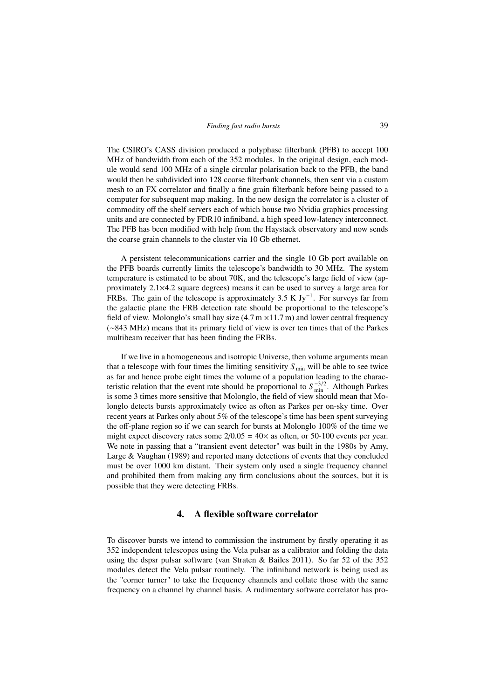The CSIRO's CASS division produced a polyphase filterbank (PFB) to accept 100 MHz of bandwidth from each of the 352 modules. In the original design, each module would send 100 MHz of a single circular polarisation back to the PFB, the band would then be subdivided into 128 coarse filterbank channels, then sent via a custom mesh to an FX correlator and finally a fine grain filterbank before being passed to a computer for subsequent map making. In the new design the correlator is a cluster of commodity off the shelf servers each of which house two Nvidia graphics processing units and are connected by FDR10 infiniband, a high speed low-latency interconnect. The PFB has been modified with help from the Haystack observatory and now sends the coarse grain channels to the cluster via 10 Gb ethernet.

A persistent telecommunications carrier and the single 10 Gb port available on the PFB boards currently limits the telescope's bandwidth to 30 MHz. The system temperature is estimated to be about 70K, and the telescope's large field of view (approximately 2.1×4.2 square degrees) means it can be used to survey a large area for FRBs. The gain of the telescope is approximately 3.5 K Jy<sup>-1</sup>. For surveys far from the galactic plane the FRB detection rate should be proportional to the telescope's field of view. Molonglo's small bay size  $(4.7 \text{ m} \times 11.7 \text{ m})$  and lower central frequency (∼843 MHz) means that its primary field of view is over ten times that of the Parkes multibeam receiver that has been finding the FRBs.

If we live in a homogeneous and isotropic Universe, then volume arguments mean that a telescope with four times the limiting sensitivity  $S_{\text{min}}$  will be able to see twice as far and hence probe eight times the volume of a population leading to the characteristic relation that the event rate should be proportional to  $S_{\text{min}}^{-3/2}$ . Although Parkes is some 3 times more sensitive that Molonglo, the field of view should mean that Molonglo detects bursts approximately twice as often as Parkes per on-sky time. Over recent years at Parkes only about 5% of the telescope's time has been spent surveying the off-plane region so if we can search for bursts at Molonglo 100% of the time we might expect discovery rates some  $2/0.05 = 40 \times$  as often, or 50-100 events per year. We note in passing that a "transient event detector" was built in the 1980s by Amy, Large & Vaughan (1989) and reported many detections of events that they concluded must be over 1000 km distant. Their system only used a single frequency channel and prohibited them from making any firm conclusions about the sources, but it is possible that they were detecting FRBs.

### 4. A flexible software correlator

To discover bursts we intend to commission the instrument by firstly operating it as 352 independent telescopes using the Vela pulsar as a calibrator and folding the data using the dspsr pulsar software (van Straten & Bailes 2011). So far 52 of the 352 modules detect the Vela pulsar routinely. The infiniband network is being used as the "corner turner" to take the frequency channels and collate those with the same frequency on a channel by channel basis. A rudimentary software correlator has pro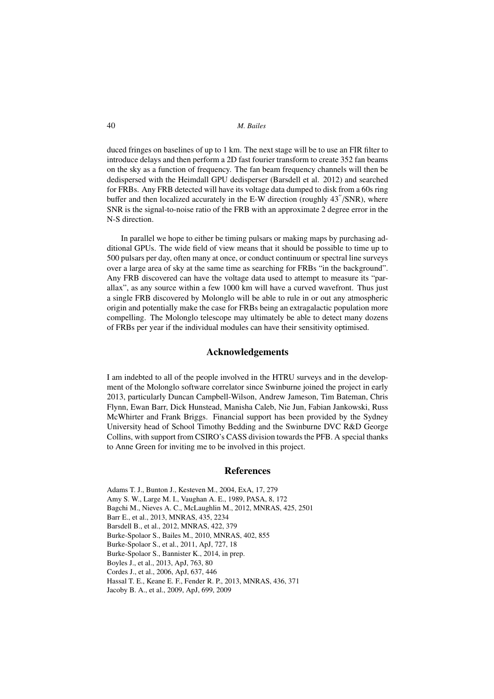40 *M. Bailes*

duced fringes on baselines of up to 1 km. The next stage will be to use an FIR filter to introduce delays and then perform a 2D fast fourier transform to create 352 fan beams on the sky as a function of frequency. The fan beam frequency channels will then be dedispersed with the Heimdall GPU dedisperser (Barsdell et al. 2012) and searched for FRBs. Any FRB detected will have its voltage data dumped to disk from a 60s ring buffer and then localized accurately in the E-W direction (roughly  $43^{\prime\prime}/\text{SNR}$ ), where SNR is the signal-to-noise ratio of the FRB with an approximate 2 degree error in the N-S direction.

In parallel we hope to either be timing pulsars or making maps by purchasing additional GPUs. The wide field of view means that it should be possible to time up to 500 pulsars per day, often many at once, or conduct continuum or spectral line surveys over a large area of sky at the same time as searching for FRBs "in the background". Any FRB discovered can have the voltage data used to attempt to measure its "parallax", as any source within a few 1000 km will have a curved wavefront. Thus just a single FRB discovered by Molonglo will be able to rule in or out any atmospheric origin and potentially make the case for FRBs being an extragalactic population more compelling. The Molonglo telescope may ultimately be able to detect many dozens of FRBs per year if the individual modules can have their sensitivity optimised.

### Acknowledgements

I am indebted to all of the people involved in the HTRU surveys and in the development of the Molonglo software correlator since Swinburne joined the project in early 2013, particularly Duncan Campbell-Wilson, Andrew Jameson, Tim Bateman, Chris Flynn, Ewan Barr, Dick Hunstead, Manisha Caleb, Nie Jun, Fabian Jankowski, Russ McWhirter and Frank Briggs. Financial support has been provided by the Sydney University head of School Timothy Bedding and the Swinburne DVC R&D George Collins, with support from CSIRO's CASS division towards the PFB. A special thanks to Anne Green for inviting me to be involved in this project.

#### **References**

Adams T. J., Bunton J., Kesteven M., 2004, ExA, 17, 279 Amy S. W., Large M. I., Vaughan A. E., 1989, PASA, 8, 172 Bagchi M., Nieves A. C., McLaughlin M., 2012, MNRAS, 425, 2501 Barr E., et al., 2013, MNRAS, 435, 2234 Barsdell B., et al., 2012, MNRAS, 422, 379 Burke-Spolaor S., Bailes M., 2010, MNRAS, 402, 855 Burke-Spolaor S., et al., 2011, ApJ, 727, 18 Burke-Spolaor S., Bannister K., 2014, in prep. Boyles J., et al., 2013, ApJ, 763, 80 Cordes J., et al., 2006, ApJ, 637, 446 Hassal T. E., Keane E. F., Fender R. P., 2013, MNRAS, 436, 371 Jacoby B. A., et al., 2009, ApJ, 699, 2009